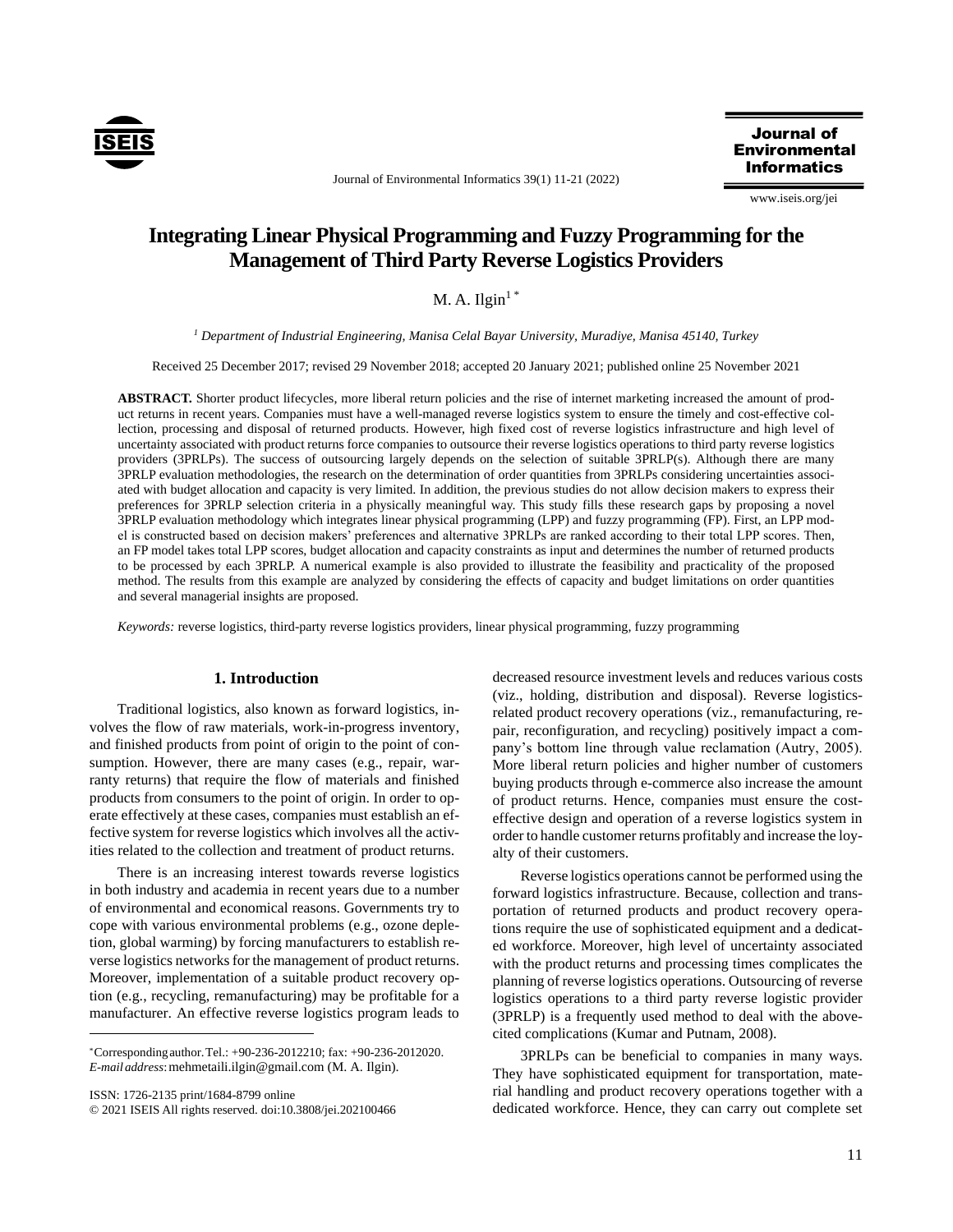

Journal of Environmental Informatics 39(1) 11-21 (2022)

Journal of **Environmental Informatics** 

www.iseis.org/jei

# **Integrating Linear Physical Programming and Fuzzy Programming for the Management of Third Party Reverse Logistics Providers**

 $M. A.$  Ilgin<sup>1\*</sup>

*<sup>1</sup> Department of Industrial Engineering, Manisa Celal Bayar University, Muradiye, Manisa 45140, Turkey*

Received 25 December 2017; revised 29 November 2018; accepted 20 January 2021; published online 25 November 2021

**ABSTRACT.** Shorter product lifecycles, more liberal return policies and the rise of internet marketing increased the amount of product returns in recent years. Companies must have a well-managed reverse logistics system to ensure the timely and cost-effective collection, processing and disposal of returned products. However, high fixed cost of reverse logistics infrastructure and high level of uncertainty associated with product returns force companies to outsource their reverse logistics operations to third party reverse logistics providers (3PRLPs). The success of outsourcing largely depends on the selection of suitable 3PRLP(s). Although there are many 3PRLP evaluation methodologies, the research on the determination of order quantities from 3PRLPs considering uncertainties associated with budget allocation and capacity is very limited. In addition, the previous studies do not allow decision makers to express their preferences for 3PRLP selection criteria in a physically meaningful way. This study fills these research gaps by proposing a novel 3PRLP evaluation methodology which integrates linear physical programming (LPP) and fuzzy programming (FP). First, an LPP model is constructed based on decision makers' preferences and alternative 3PRLPs are ranked according to their total LPP scores. Then, an FP model takes total LPP scores, budget allocation and capacity constraints as input and determines the number of returned products to be processed by each 3PRLP. A numerical example is also provided to illustrate the feasibility and practicality of the proposed method. The results from this example are analyzed by considering the effects of capacity and budget limitations on order quantities and several managerial insights are proposed.

*Keywords:* reverse logistics, third-party reverse logistics providers, linear physical programming, fuzzy programming

## **1. Introduction**

Traditional logistics, also known as forward logistics, involves the flow of raw materials, work-in-progress inventory, and finished products from point of origin to the point of consumption. However, there are many cases (e.g., repair, warranty returns) that require the flow of materials and finished products from consumers to the point of origin. In order to operate effectively at these cases, companies must establish an effective system for reverse logistics which involves all the activities related to the collection and treatment of product returns.

There is an increasing interest towards reverse logistics in both industry and academia in recent years due to a number of environmental and economical reasons. Governments try to cope with various environmental problems (e.g., ozone depletion, global warming) by forcing manufacturers to establish reverse logistics networks for the management of product returns. Moreover, implementation of a suitable product recovery option (e.g., recycling, remanufacturing) may be profitable for a manufacturer. An effective reverse logistics program leads to

ISSN: 1726-2135 print/1684-8799 online

 $\overline{a}$ 

© 2021 ISEIS All rights reserved. doi:10.3808/jei.202100466

decreased resource investment levels and reduces various costs (viz., holding, distribution and disposal). Reverse logisticsrelated product recovery operations (viz., remanufacturing, repair, reconfiguration, and recycling) positively impact a company's bottom line through value reclamation (Autry, 2005). More liberal return policies and higher number of customers buying products through e-commerce also increase the amount of product returns. Hence, companies must ensure the costeffective design and operation of a reverse logistics system in order to handle customer returns profitably and increase the loyalty of their customers.

Reverse logistics operations cannot be performed using the forward logistics infrastructure. Because, collection and transportation of returned products and product recovery operations require the use of sophisticated equipment and a dedicated workforce. Moreover, high level of uncertainty associated with the product returns and processing times complicates the planning of reverse logistics operations. Outsourcing of reverse logistics operations to a third party reverse logistic provider (3PRLP) is a frequently used method to deal with the abovecited complications (Kumar and Putnam, 2008).

3PRLPs can be beneficial to companies in many ways. They have sophisticated equipment for transportation, material handling and product recovery operations together with a dedicated workforce. Hence, they can carry out complete set

<sup>\*</sup>Correspondingauthor.Tel.: +90-236-2012210; fax: +90-236-2012020. *E-mail address*:mehmetaili.ilgin@gmail.com (M. A. Ilgin).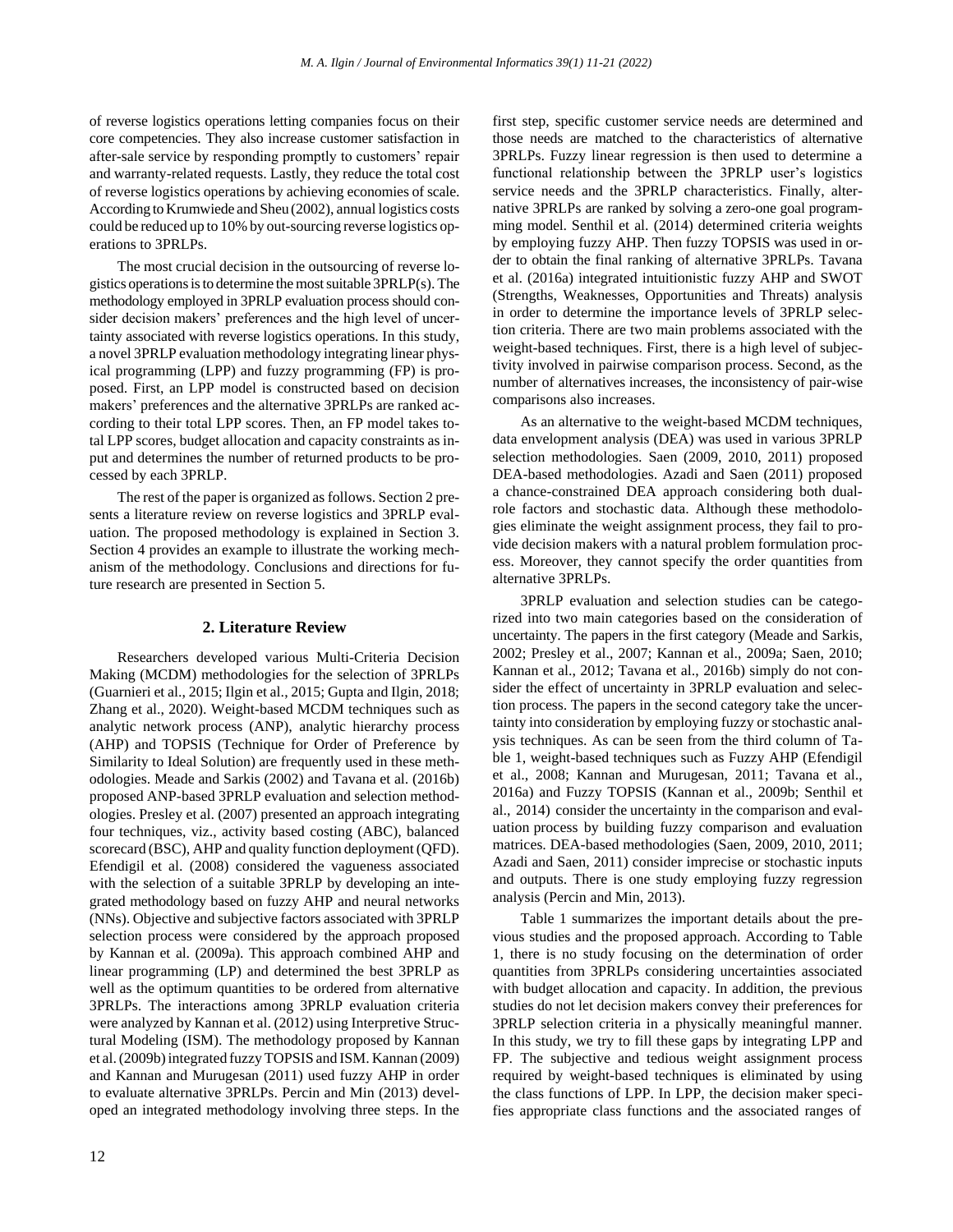of reverse logistics operations letting companies focus on their core competencies. They also increase customer satisfaction in after-sale service by responding promptly to customers' repair and warranty-related requests. Lastly, they reduce the total cost of reverse logistics operations by achieving economies of scale. According to Krumwiede and Sheu (2002), annual logistics costs could be reduced up to 10% by out-sourcing reverse logistics operations to 3PRLPs.

The most crucial decision in the outsourcing of reverse logistics operations is to determine the most suitable 3PRLP(s). The methodology employed in 3PRLP evaluation process should consider decision makers' preferences and the high level of uncertainty associated with reverse logistics operations. In this study, a novel 3PRLP evaluation methodology integrating linear physical programming (LPP) and fuzzy programming (FP) is proposed. First, an LPP model is constructed based on decision makers' preferences and the alternative 3PRLPs are ranked according to their total LPP scores. Then, an FP model takes total LPP scores, budget allocation and capacity constraints as input and determines the number of returned products to be processed by each 3PRLP.

The rest of the paper is organized as follows. Section 2 presents a literature review on reverse logistics and 3PRLP evaluation. The proposed methodology is explained in Section 3. Section 4 provides an example to illustrate the working mechanism of the methodology. Conclusions and directions for future research are presented in Section 5.

#### **2. Literature Review**

Researchers developed various Multi-Criteria Decision Making (MCDM) methodologies for the selection of 3PRLPs (Guarnieri et al., 2015; Ilgin et al., 2015; Gupta and Ilgin, 2018; Zhang et al., 2020). Weight-based MCDM techniques such as analytic network process (ANP), analytic hierarchy process (AHP) and TOPSIS (Technique for Order of Preference by Similarity to Ideal Solution) are frequently used in these methodologies. Meade and Sarkis (2002) and Tavana et al. (2016b) proposed ANP-based 3PRLP evaluation and selection methodologies. Presley et al. (2007) presented an approach integrating four techniques, viz., activity based costing (ABC), balanced scorecard (BSC), AHP and quality function deployment (QFD). Efendigil et al. (2008) considered the vagueness associated with the selection of a suitable 3PRLP by developing an integrated methodology based on fuzzy AHP and neural networks (NNs). Objective and subjective factors associated with 3PRLP selection process were considered by the approach proposed by Kannan et al. (2009a). This approach combined AHP and linear programming (LP) and determined the best 3PRLP as well as the optimum quantities to be ordered from alternative 3PRLPs. The interactions among 3PRLP evaluation criteria were analyzed by Kannan et al. (2012) using Interpretive Structural Modeling (ISM). The methodology proposed by Kannan et al. (2009b) integrated fuzzy TOPSIS and ISM. Kannan (2009) and Kannan and Murugesan (2011) used fuzzy AHP in order to evaluate alternative 3PRLPs. Percin and Min (2013) developed an integrated methodology involving three steps. In the first step, specific customer service needs are determined and those needs are matched to the characteristics of alternative 3PRLPs. Fuzzy linear regression is then used to determine a functional relationship between the 3PRLP user's logistics service needs and the 3PRLP characteristics. Finally, alternative 3PRLPs are ranked by solving a zero-one goal programming model. Senthil et al. (2014) determined criteria weights by employing fuzzy AHP. Then fuzzy TOPSIS was used in order to obtain the final ranking of alternative 3PRLPs. Tavana et al. (2016a) integrated intuitionistic fuzzy AHP and SWOT (Strengths, Weaknesses, Opportunities and Threats) analysis in order to determine the importance levels of 3PRLP selection criteria. There are two main problems associated with the weight-based techniques. First, there is a high level of subjectivity involved in pairwise comparison process. Second, as the number of alternatives increases, the inconsistency of pair-wise comparisons also increases.

As an alternative to the weight-based MCDM techniques, data envelopment analysis (DEA) was used in various 3PRLP selection methodologies. Saen (2009, 2010, 2011) proposed DEA-based methodologies. Azadi and Saen (2011) proposed a chance-constrained DEA approach considering both dualrole factors and stochastic data. Although these methodologies eliminate the weight assignment process, they fail to provide decision makers with a natural problem formulation process. Moreover, they cannot specify the order quantities from alternative 3PRLPs.

3PRLP evaluation and selection studies can be categorized into two main categories based on the consideration of uncertainty. The papers in the first category (Meade and Sarkis, 2002; Presley et al., 2007; Kannan et al., 2009a; Saen, 2010; Kannan et al., 2012; Tavana et al., 2016b) simply do not consider the effect of uncertainty in 3PRLP evaluation and selection process. The papers in the second category take the uncertainty into consideration by employing fuzzy or stochastic analysis techniques. As can be seen from the third column of Table 1, weight-based techniques such as Fuzzy AHP (Efendigil et al., 2008; Kannan and Murugesan, 2011; Tavana et al., 2016a) and Fuzzy TOPSIS (Kannan et al., 2009b; Senthil et al., 2014) consider the uncertainty in the comparison and evaluation process by building fuzzy comparison and evaluation matrices. DEA-based methodologies (Saen, 2009, 2010, 2011; Azadi and Saen, 2011) consider imprecise or stochastic inputs and outputs. There is one study employing fuzzy regression analysis (Percin and Min, 2013).

Table 1 summarizes the important details about the previous studies and the proposed approach. According to Table 1, there is no study focusing on the determination of order quantities from 3PRLPs considering uncertainties associated with budget allocation and capacity. In addition, the previous studies do not let decision makers convey their preferences for 3PRLP selection criteria in a physically meaningful manner. In this study, we try to fill these gaps by integrating LPP and FP. The subjective and tedious weight assignment process required by weight-based techniques is eliminated by using the class functions of LPP. In LPP, the decision maker specifies appropriate class functions and the associated ranges of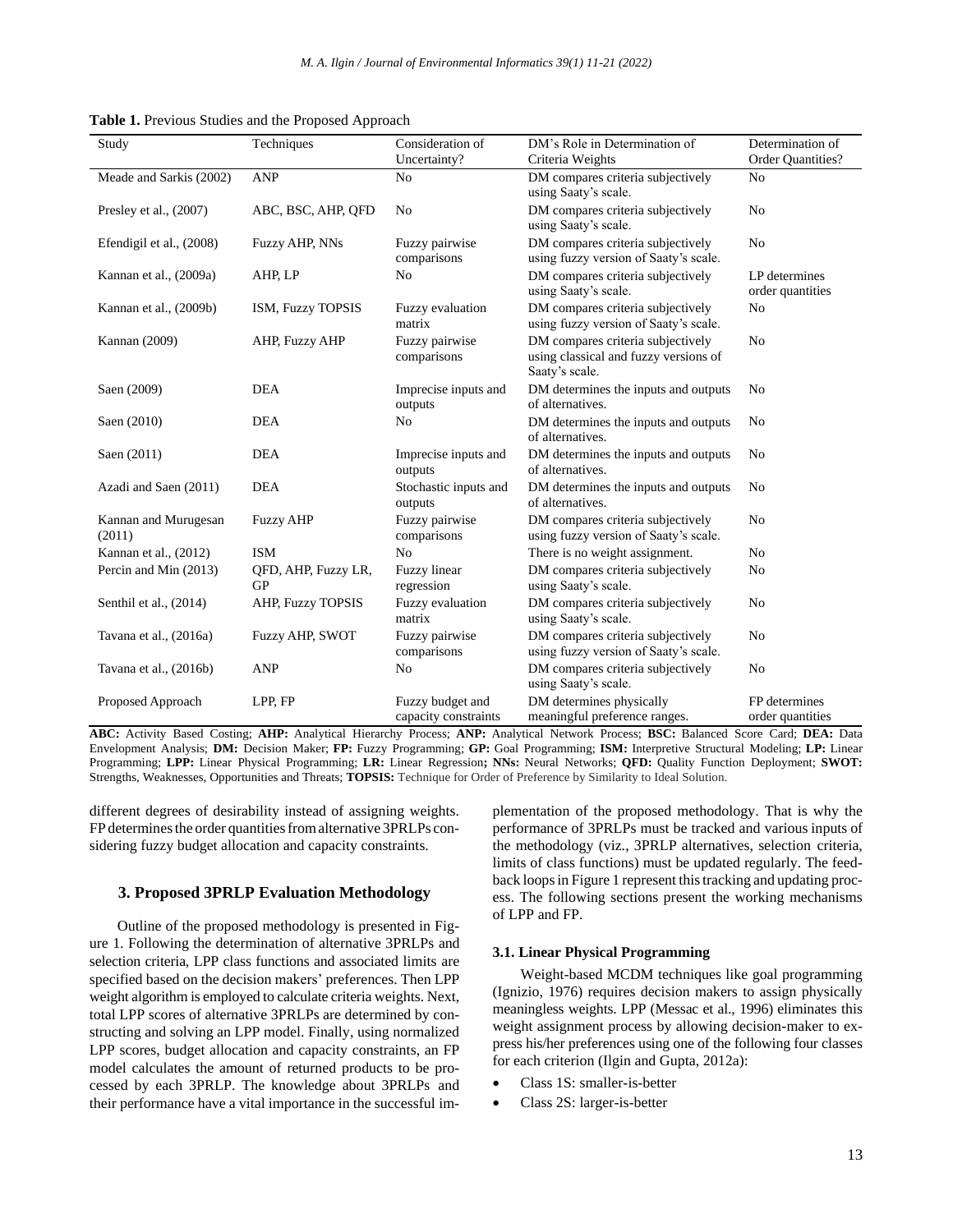| Study                          | Techniques                       | Consideration of                         | DM's Role in Determination of                                                                | Determination of                  |
|--------------------------------|----------------------------------|------------------------------------------|----------------------------------------------------------------------------------------------|-----------------------------------|
|                                |                                  | Uncertainty?                             | Criteria Weights                                                                             | Order Quantities?                 |
| Meade and Sarkis (2002)        | <b>ANP</b>                       | N <sub>0</sub>                           | DM compares criteria subjectively<br>using Saaty's scale.                                    | N <sub>0</sub>                    |
| Presley et al., $(2007)$       | ABC, BSC, AHP, OFD               | N <sub>o</sub>                           | DM compares criteria subjectively<br>using Saaty's scale.                                    | N <sub>0</sub>                    |
| Efendigil et al., (2008)       | Fuzzy AHP, NNs                   | Fuzzy pairwise<br>comparisons            | DM compares criteria subjectively<br>using fuzzy version of Saaty's scale.                   | N <sub>0</sub>                    |
| Kannan et al., (2009a)         | AHP, LP                          | N <sub>0</sub>                           | DM compares criteria subjectively<br>using Saaty's scale.                                    | LP determines<br>order quantities |
| Kannan et al., (2009b)         | ISM, Fuzzy TOPSIS                | Fuzzy evaluation<br>matrix               | DM compares criteria subjectively<br>using fuzzy version of Saaty's scale.                   | N <sub>0</sub>                    |
| Kannan (2009)                  | AHP, Fuzzy AHP                   | Fuzzy pairwise<br>comparisons            | DM compares criteria subjectively<br>using classical and fuzzy versions of<br>Saaty's scale. | N <sub>0</sub>                    |
| Saen (2009)                    | <b>DEA</b>                       | Imprecise inputs and<br>outputs          | DM determines the inputs and outputs<br>of alternatives.                                     | N <sub>0</sub>                    |
| Saen (2010)                    | <b>DEA</b>                       | N <sub>0</sub>                           | DM determines the inputs and outputs<br>of alternatives.                                     | N <sub>0</sub>                    |
| Saen (2011)                    | <b>DEA</b>                       | Imprecise inputs and<br>outputs          | DM determines the inputs and outputs<br>of alternatives.                                     | N <sub>0</sub>                    |
| Azadi and Saen (2011)          | <b>DEA</b>                       | Stochastic inputs and<br>outputs         | DM determines the inputs and outputs<br>of alternatives.                                     | N <sub>0</sub>                    |
| Kannan and Murugesan<br>(2011) | <b>Fuzzy AHP</b>                 | Fuzzy pairwise<br>comparisons            | DM compares criteria subjectively<br>using fuzzy version of Saaty's scale.                   | No                                |
| Kannan et al., (2012)          | <b>ISM</b>                       | N <sub>0</sub>                           | There is no weight assignment.                                                               | No                                |
| Percin and Min (2013)          | QFD, AHP, Fuzzy LR,<br><b>GP</b> | Fuzzy linear<br>regression               | DM compares criteria subjectively<br>using Saaty's scale.                                    | N <sub>0</sub>                    |
| Senthil et al., $(2014)$       | AHP, Fuzzy TOPSIS                | Fuzzy evaluation<br>matrix               | DM compares criteria subjectively<br>using Saaty's scale.                                    | No                                |
| Tavana et al., (2016a)         | <b>Fuzzy AHP, SWOT</b>           | Fuzzy pairwise<br>comparisons            | DM compares criteria subjectively<br>using fuzzy version of Saaty's scale.                   | N <sub>0</sub>                    |
| Tavana et al., (2016b)         | <b>ANP</b>                       | N <sub>0</sub>                           | DM compares criteria subjectively<br>using Saaty's scale.                                    | N <sub>0</sub>                    |
| Proposed Approach              | LPP, FP                          | Fuzzy budget and<br>capacity constraints | DM determines physically<br>meaningful preference ranges.                                    | FP determines<br>order quantities |

**Table 1.** Previous Studies and the Proposed Approach

**ABC:** Activity Based Costing; **AHP:** Analytical Hierarchy Process; **ANP:** Analytical Network Process; **BSC:** Balanced Score Card; **DEA:** Data Envelopment Analysis; **DM:** Decision Maker; **FP:** Fuzzy Programming; **GP:** Goal Programming; **ISM:** Interpretive Structural Modeling; **LP:** Linear Programming; **LPP:** Linear Physical Programming; **LR:** Linear Regression**; NNs:** Neural Networks; **QFD:** Quality Function Deployment; **SWOT:** Strengths, Weaknesses, Opportunities and Threats; **TOPSIS:** Technique for Order of Preference by Similarity to Ideal Solution.

different degrees of desirability instead of assigning weights. FP determines the order quantities from alternative 3PRLPs considering fuzzy budget allocation and capacity constraints.

### **3. Proposed 3PRLP Evaluation Methodology**

Outline of the proposed methodology is presented in Figure 1. Following the determination of alternative 3PRLPs and selection criteria, LPP class functions and associated limits are specified based on the decision makers' preferences. Then LPP weight algorithm is employed to calculate criteria weights. Next, total LPP scores of alternative 3PRLPs are determined by constructing and solving an LPP model. Finally, using normalized LPP scores, budget allocation and capacity constraints, an FP model calculates the amount of returned products to be processed by each 3PRLP. The knowledge about 3PRLPs and their performance have a vital importance in the successful implementation of the proposed methodology. That is why the performance of 3PRLPs must be tracked and various inputs of the methodology (viz., 3PRLP alternatives, selection criteria, limits of class functions) must be updated regularly. The feedback loops in Figure 1 represent this tracking and updating process. The following sections present the working mechanisms of LPP and FP.

## **3.1. Linear Physical Programming**

Weight-based MCDM techniques like goal programming (Ignizio, 1976) requires decision makers to assign physically meaningless weights. LPP (Messac et al., 1996) eliminates this weight assignment process by allowing decision-maker to express his/her preferences using one of the following four classes for each criterion (Ilgin and Gupta, 2012a):

- Class 1S: smaller-is-better
- Class 2S: larger-is-better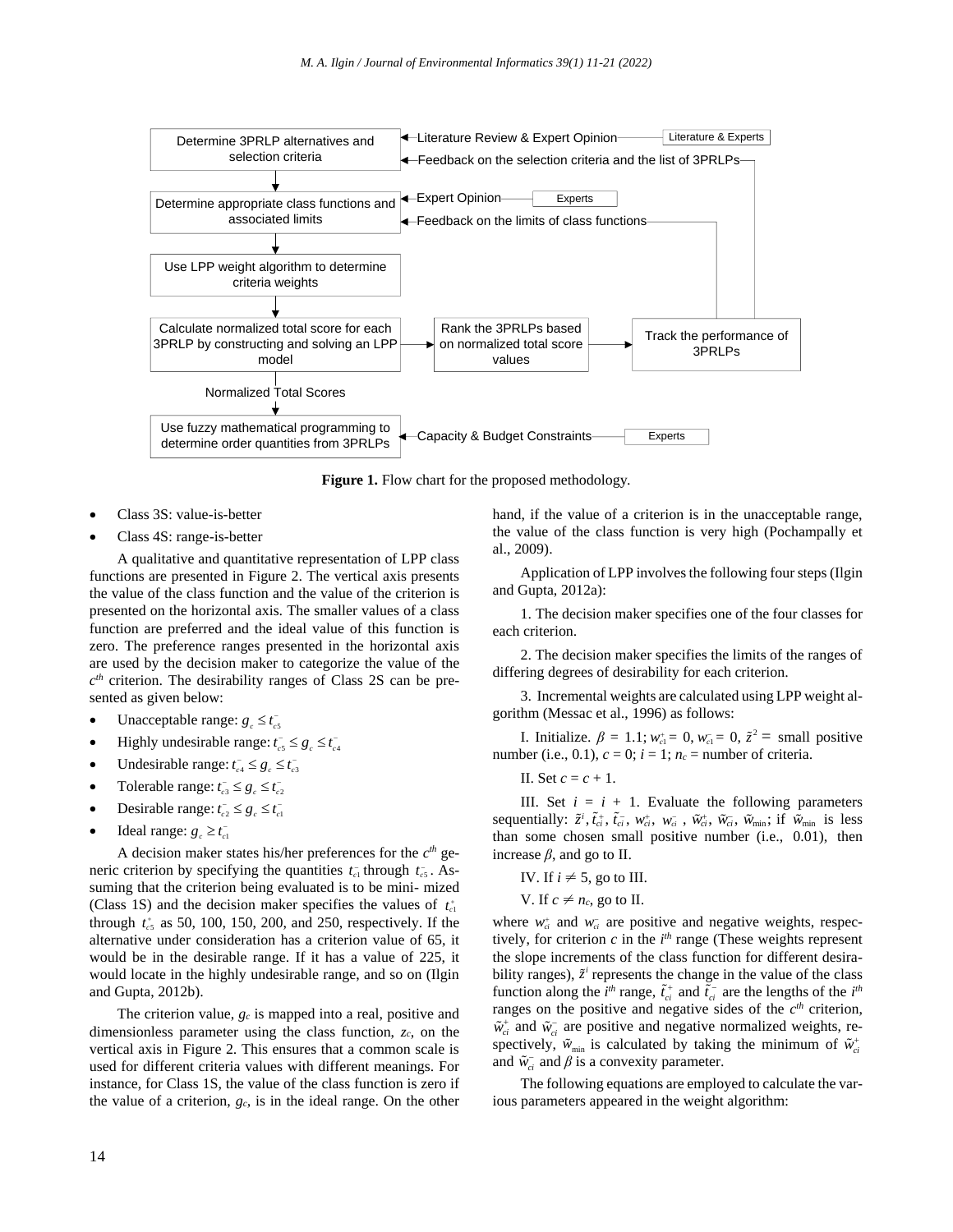

**Figure 1.** Flow chart for the proposed methodology.

- Class 3S: value-is-better
- Class 4S: range-is-better

A qualitative and quantitative representation of LPP class functions are presented in Figure 2. The vertical axis presents the value of the class function and the value of the criterion is presented on the horizontal axis. The smaller values of a class function are preferred and the ideal value of this function is zero. The preference ranges presented in the horizontal axis are used by the decision maker to categorize the value of the *c th* criterion. The desirability ranges of Class 2S can be presented as given below:

- Unacceptable range:  $g_c \le t_{cs}^-$
- Highly undesirable range:  $t_c^-\leq g_c \leq t_{c4}^-$
- $\bullet$  Undesirable range:  $t_{c4}^{\dagger} \leq g_c \leq t_{c3}^{\dagger}$
- Tolerable range:  $t_{c3}^- \leq g_c \leq t_{c2}^-$
- $\bullet$  Desirable range:  $t_{c2}^{\dagger} \leq g_c \leq t_{c1}^{\dagger}$
- $\bullet$  Ideal range:  $g_c \geq t_{c1}^-$

A decision maker states his/her preferences for the *c th* generic criterion by specifying the quantities  $t_{c1}$  through  $t_{c5}$ . Assuming that the criterion being evaluated is to be mini- mized (Class 1S) and the decision maker specifies the values of  $t_{cl}^+$ through  $t_{\rm c5}^+$  as 50, 100, 150, 200, and 250, respectively. If the alternative under consideration has a criterion value of 65, it would be in the desirable range. If it has a value of 225, it would locate in the highly undesirable range, and so on (Ilgin and Gupta, 2012b).

The criterion value, *g<sup>c</sup>* is mapped into a real, positive and dimensionless parameter using the class function, *zc*, on the vertical axis in Figure 2. This ensures that a common scale is used for different criteria values with different meanings. For instance, for Class 1S, the value of the class function is zero if the value of a criterion, *gc*, is in the ideal range. On the other hand, if the value of a criterion is in the unacceptable range, the value of the class function is very high (Pochampally et al., 2009).

Application of LPP involves the following four steps (Ilgin and Gupta, 2012a):

1. The decision maker specifies one of the four classes for each criterion.

2. The decision maker specifies the limits of the ranges of differing degrees of desirability for each criterion.

3. Incremental weights are calculated using LPP weight algorithm (Messac et al., 1996) as follows:

I. Initialize.  $β = 1.1$ ;  $w_{c1}^{+} = 0$ ,  $w_{c1}^{-} = 0$ ,  $\tilde{z}^{2} =$  small positive number (i.e., 0.1),  $c = 0$ ;  $i = 1$ ;  $n_c$  = number of criteria.

II. Set  $c = c + 1$ .

III. Set  $i = i + 1$ . Evaluate the following parameters sequentially:  $\tilde{z}^i$ ,  $\tilde{t}_{ci}^+$ ,  $\tilde{t}_{ci}^-$ ,  $w_{ci}^+$ ,  $w_{ci}^-$ ,  $\tilde{w}_{ci}^+$ ,  $\tilde{w}_{ci}^-$ ,  $\tilde{w}_{min}$ ; if  $\tilde{w}_{min}$  is less than some chosen small positive number (i.e., 0.01), then increase  $\beta$ , and go to II.

- IV. If  $i \neq 5$ , go to III.
- V. If  $c \neq n_c$ , go to II.

where  $w_{ci}^{+}$  and  $w_{ci}^{-}$  are positive and negative weights, respectively, for criterion  $c$  in the  $i<sup>th</sup>$  range (These weights represent the slope increments of the class function for different desirability ranges),  $\tilde{z}^i$  represents the change in the value of the class function along the *i*<sup>th</sup> range,  $\tilde{t}_{ci}^+$  and  $\tilde{t}_{ci}^-$  are the lengths of the *i*<sup>th</sup> ranges on the positive and negative sides of the  $c<sup>th</sup>$  criterion,  $\tilde{w}_{ci}^+$  and  $\tilde{w}_{ci}^-$  are positive and negative normalized weights, respectively,  $\tilde{w}_{min}$  is calculated by taking the minimum of  $\tilde{w}_{ci}^{+}$ and  $\tilde{w}_{ci}^-$  and  $\beta$  is a convexity parameter.

The following equations are employed to calculate the various parameters appeared in the weight algorithm: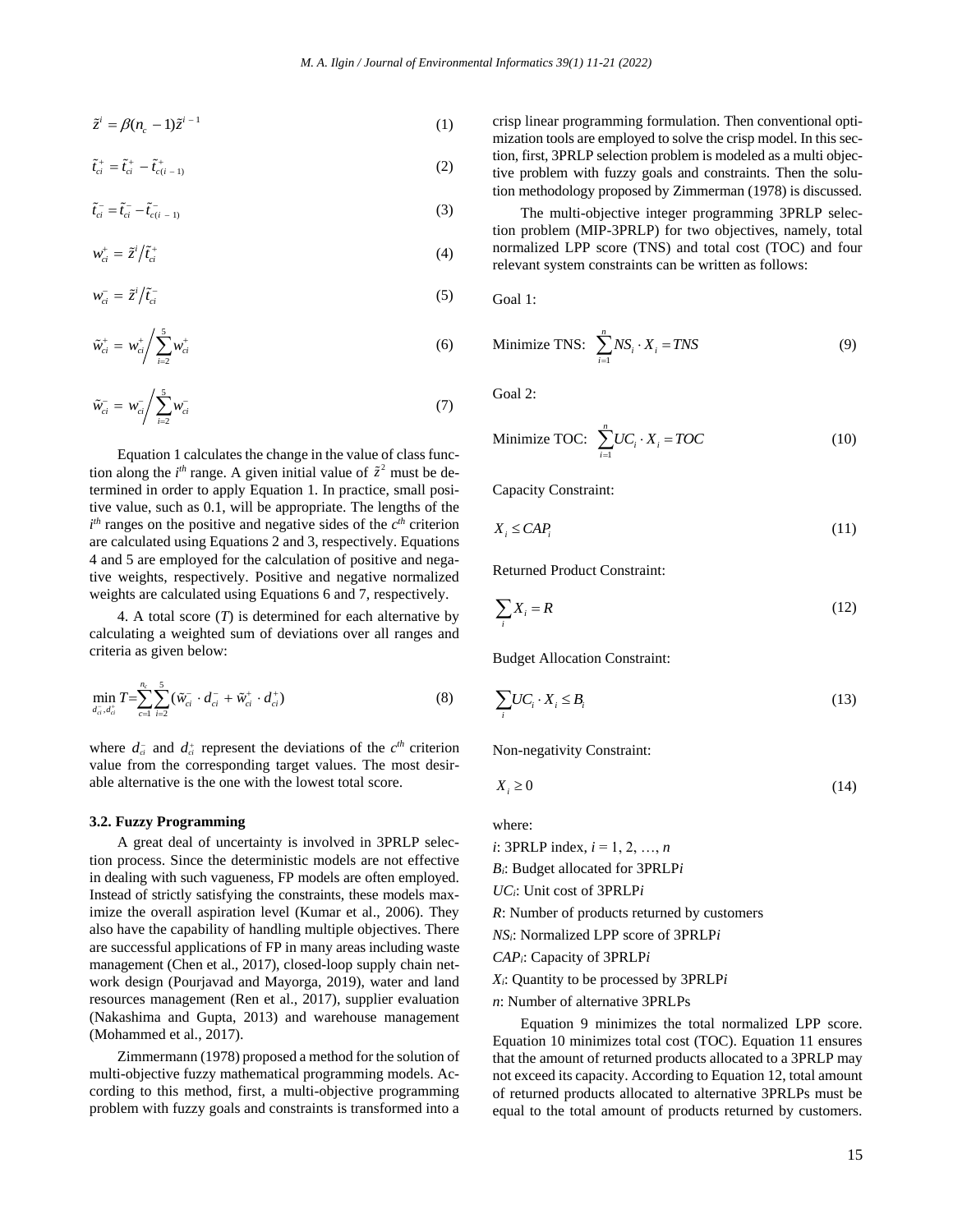$$
\tilde{z}^i = \beta (n_c - 1) \tilde{z}^{i-1} \tag{1}
$$

$$
\tilde{t}_{ci}^{+} = \tilde{t}_{ci}^{+} - \tilde{t}_{c(i-1)}^{+} \tag{2}
$$

$$
\tilde{t}_{ci}^- = \tilde{t}_{ci}^- - \tilde{t}_{c(i-1)}^- \tag{3}
$$

$$
w_{ci}^+ = \tilde{z}^i / \tilde{t}_{ci}^+ \tag{4}
$$

$$
w_{ci}^- = \tilde{z}^i / \tilde{t}_{ci}^- \tag{5}
$$

$$
\tilde{w}_{ci}^{+} = w_{ci}^{+} \Bigg/ \sum_{i=2}^{5} w_{ci}^{+} \tag{6}
$$

$$
\tilde{w}_{ci}^- = w_{ci}^- / \sum_{i=2}^5 w_{ci}^- \tag{7}
$$

Equation 1 calculates the change in the value of class function along the  $i<sup>th</sup>$  range. A given initial value of  $\tilde{z}^2$  must be determined in order to apply Equation 1. In practice, small positive value, such as 0.1, will be appropriate. The lengths of the  $i<sup>th</sup>$  ranges on the positive and negative sides of the  $c<sup>th</sup>$  criterion are calculated using Equations 2 and 3, respectively. Equations 4 and 5 are employed for the calculation of positive and negative weights, respectively. Positive and negative normalized weights are calculated using Equations 6 and 7, respectively.

4. A total score (*T*) is determined for each alternative by calculating a weighted sum of deviations over all ranges and criteria as given below:

$$
\min_{d_{ci}^{-1}, d_{ci}^{+}} T = \sum_{c=1}^{n_c} \sum_{i=2}^{5} (\tilde{w}_{ci}^{-} \cdot d_{ci}^{-} + \tilde{w}_{ci}^{+} \cdot d_{ci}^{+})
$$
\n(8)

where  $d_{ci}^-$  and  $d_{ci}^+$  represent the deviations of the  $c^{th}$  criterion value from the corresponding target values. The most desirable alternative is the one with the lowest total score.

### **3.2. Fuzzy Programming**

16 - *A*<sub>(a</sub> - b)<sup>2</sup><br>
16 -  $\cos \theta$  - b)<sup>2</sup><br>
16 -  $\cos \theta$  - b)  $\theta$  - constrained proposes for a singular proposes for a singular proposes for a singular proposes for a singular proposes for a singular proposes for a singul A great deal of uncertainty is involved in 3PRLP selection process. Since the deterministic models are not effective in dealing with such vagueness, FP models are often employed. Instead of strictly satisfying the constraints, these models maximize the overall aspiration level (Kumar et al., 2006). They also have the capability of handling multiple objectives. There are successful applications of FP in many areas including waste management (Chen et al., 2017), closed-loop supply chain network design (Pourjavad and Mayorga, 2019), water and land resources management (Ren et al., 2017), supplier evaluation (Nakashima and Gupta, 2013) and warehouse management (Mohammed et al., 2017).

Zimmermann (1978) proposed a method for the solution of multi-objective fuzzy mathematical programming models. According to this method, first, a multi-objective programming problem with fuzzy goals and constraints is transformed into a

crisp linear programming formulation. Then conventional optimization tools are employed to solve the crisp model. In this section, first, 3PRLP selection problem is modeled as a multi objective problem with fuzzy goals and constraints. Then the solution methodology proposed by Zimmerman (1978) is discussed.

The multi-objective integer programming 3PRLP selection problem (MIP-3PRLP) for two objectives, namely, total normalized LPP score (TNS) and total cost (TOC) and four relevant system constraints can be written as follows:

Goal 1:

$$
\text{Minimize TNS:} \quad \sum_{i=1}^{n} N S_i \cdot X_i = T N S \tag{9}
$$

Goal 2:

$$
\text{Minimize TOC:} \quad \sum_{i=1}^{n} UC_i \cdot X_i = TOC \tag{10}
$$

Capacity Constraint:

$$
X_i \leq CAP_i \tag{11}
$$

Returned Product Constraint:

$$
\sum_{i} X_{i} = R \tag{12}
$$

Budget Allocation Constraint:

$$
\sum_{i} UC_{i} \cdot X_{i} \leq B_{i}
$$
\n(13)

Non-negativity Constraint:

$$
X_i \ge 0 \tag{14}
$$

where:

*i*:  $3$ PRLP index,  $i = 1, 2, ..., n$ 

*Bi*: Budget allocated for 3PRLP*i*

*UCi*: Unit cost of 3PRLP*i*

*R*: Number of products returned by customers

*NSi*: Normalized LPP score of 3PRLP*i*

*CAPi*: Capacity of 3PRLP*i*

*Xi*: Quantity to be processed by 3PRLP*i*

*n*: Number of alternative 3PRLPs

Equation 9 minimizes the total normalized LPP score. Equation 10 minimizes total cost (TOC). Equation 11 ensures that the amount of returned products allocated to a 3PRLP may not exceed its capacity. According to Equation 12, total amount of returned products allocated to alternative 3PRLPs must be equal to the total amount of products returned by customers.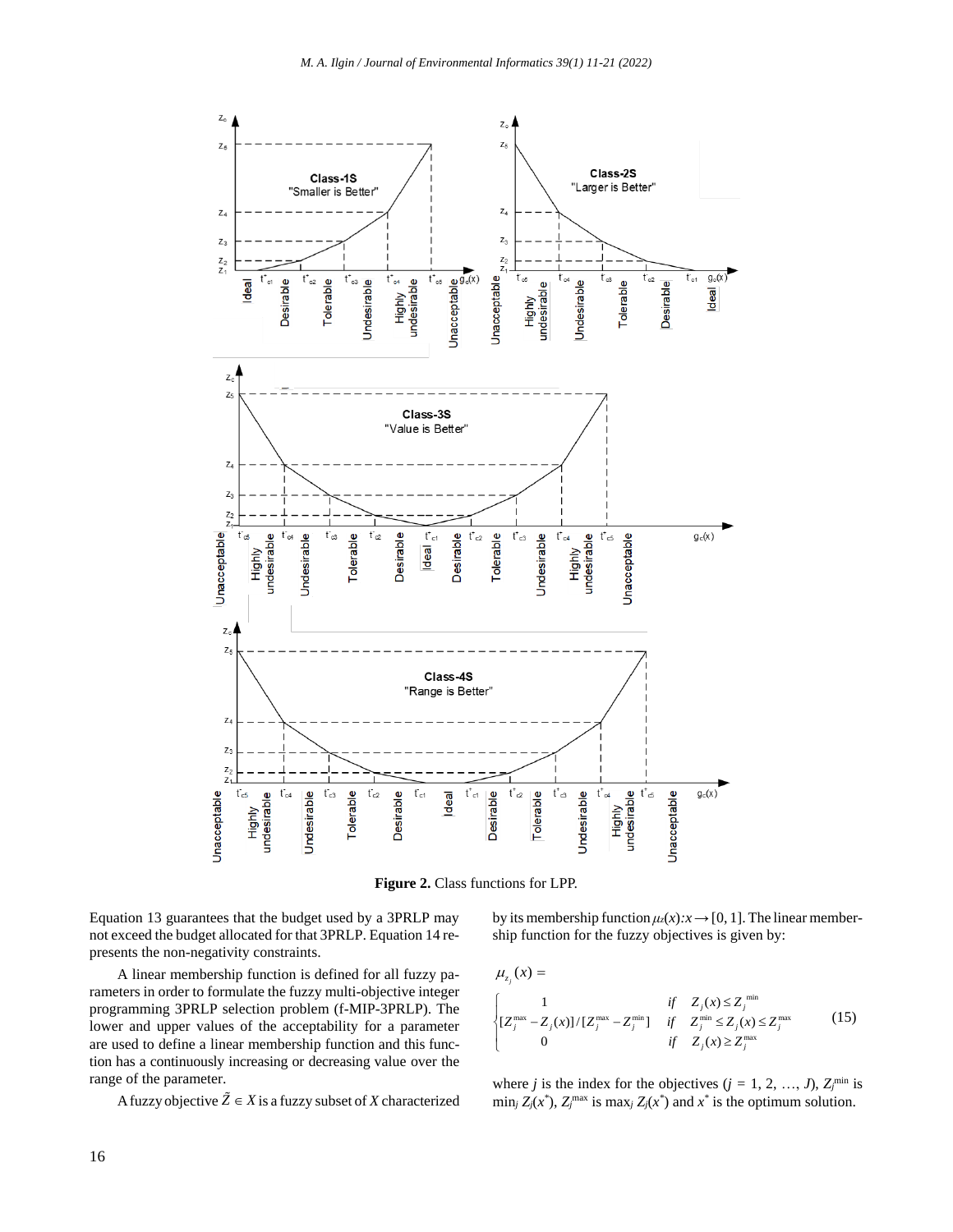

**Figure 2.** Class functions for LPP.

Equation 13 guarantees that the budget used by a 3PRLP may not exceed the budget allocated for that 3PRLP. Equation 14 represents the non-negativity constraints.

A linear membership function is defined for all fuzzy parameters in order to formulate the fuzzy multi-objective integer programming 3PRLP selection problem (f-MIP-3PRLP). The lower and upper values of the acceptability for a parameter are used to define a linear membership function and this function has a continuously increasing or decreasing value over the range of the parameter.

A fuzzy objective  $\tilde{Z} \in X$  is a fuzzy subset of *X* characterized

by its membership function  $\mu_z(x):x\to[0, 1]$ . The linear membership function for the fuzzy objectives is given by:

$$
\mu_{z_j}(x) = \mu_{z_j}(x) = \begin{cases}\n1 & \text{if } Z_j(x) \le Z_j^{\min} \\
\sum_{i=1}^{\infty} |Z_j^{\max} - Z_j(x)| / [Z_j^{\max} - Z_j^{\min}] & \text{if } Z_j^{\min} \le Z_j(x) \le Z_j^{\max} \\
0 & \text{if } Z_j(x) \ge Z_j^{\max}\n\end{cases} (15)
$$

where *j* is the index for the objectives  $(j = 1, 2, ..., J)$ ,  $Z_j^{\text{min}}$  is min<sub>*j*</sub>  $Z_j(x^*)$ ,  $Z_j^{\text{max}}$  is max<sub>*j*</sub>  $Z_j(x^*)$  and  $x^*$  is the optimum solution.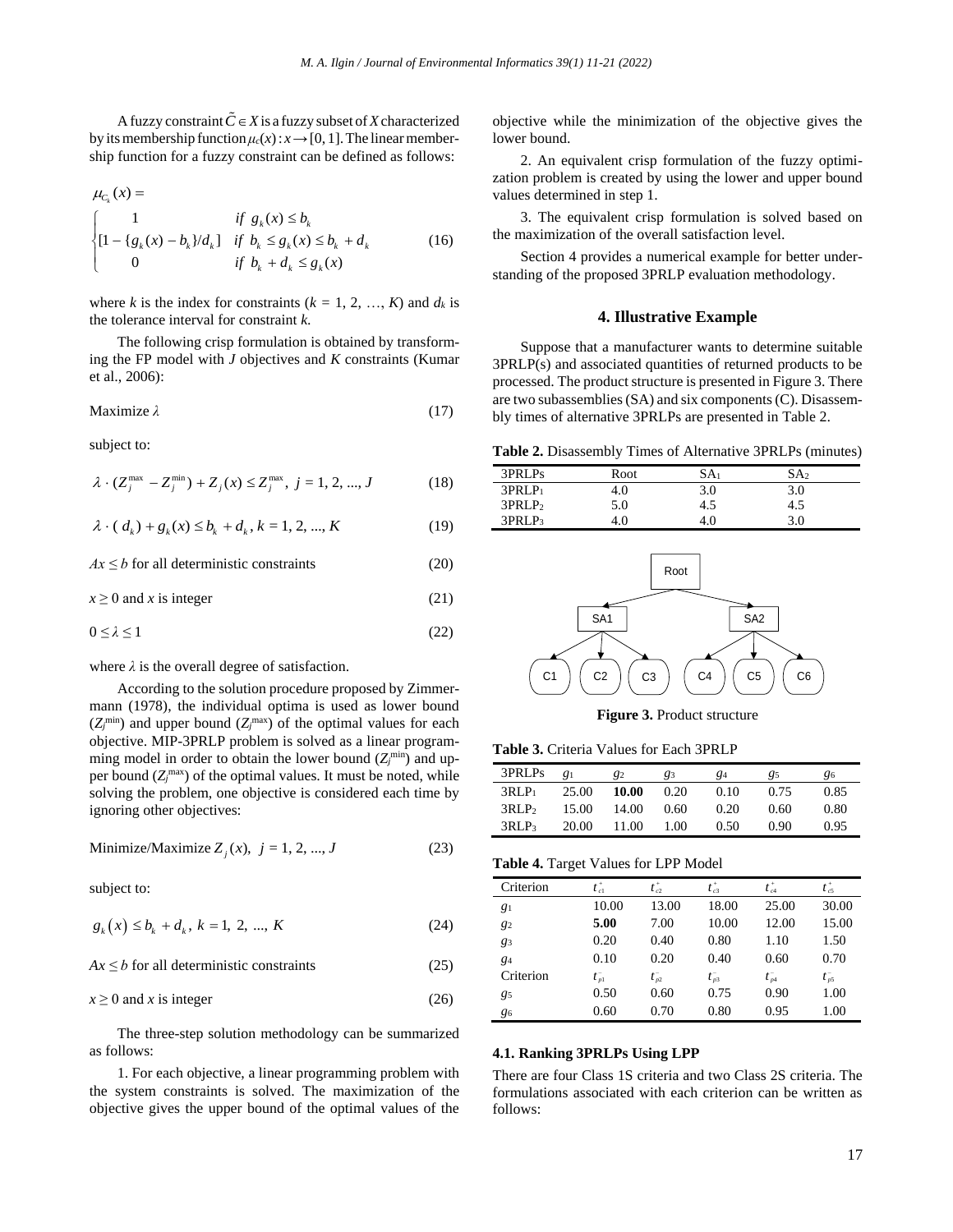A fuzzy constraint  $\tilde{C} \in X$  is a fuzzy subset of *X* characterized by its membership function  $\mu_c(x): x \to [0, 1]$ . The linear membership function for a fuzzy constraint can be defined as follows:

$$
\mu_{C_k}(x) = \begin{cases}\n1 & \text{if } g_k(x) \le b_k \\
[1 - \{g_k(x) - b_k\}/d_k] & \text{if } b_k \le g_k(x) \le b_k + d_k \\
0 & \text{if } b_k + d_k \le g_k(x)\n\end{cases}
$$
\n(16)

where *k* is the index for constraints  $(k = 1, 2, ..., K)$  and  $d_k$  is the tolerance interval for constraint *k*.

The following crisp formulation is obtained by transforming the FP model with *J* objectives and *K* constraints (Kumar et al., 2006):

$$
Maximize \lambda \tag{17}
$$

subject to:

$$
\lambda \cdot (Z_j^{\max} - Z_j^{\min}) + Z_j(x) \le Z_j^{\max}, \ j = 1, 2, ..., J
$$
 (18)

$$
\lambda \cdot (d_k) + g_k(x) \le b_k + d_k, k = 1, 2, ..., K
$$
 (19)

 $Ax \leq b$  for all deterministic constraints (20)

 $x \ge 0$  and *x* is integer (21)

$$
0 \le \lambda \le 1 \tag{22}
$$

where  $\lambda$  is the overall degree of satisfaction.

According to the solution procedure proposed by Zimmermann (1978), the individual optima is used as lower bound  $(Z_j^{\text{min}})$  and upper bound  $(Z_j^{\text{max}})$  of the optimal values for each objective. MIP-3PRLP problem is solved as a linear programming model in order to obtain the lower bound  $(Z_j^{\text{min}})$  and upper bound  $(Z_j^{\text{max}})$  of the optimal values. It must be noted, while solving the problem, one objective is considered each time by ignoring other objectives:

Minimize/Maximize 
$$
Z_j(x)
$$
,  $j = 1, 2, ..., J$  (23)

subject to:

$$
g_k(x) \le b_k + d_k, \ k = 1, \ 2, \ ..., \ K \tag{24}
$$

 $Ax \leq b$  for all deterministic constraints (25)

$$
x \ge 0 \text{ and } x \text{ is integer} \tag{26}
$$

The three-step solution methodology can be summarized as follows:

1. For each objective, a linear programming problem with the system constraints is solved. The maximization of the objective gives the upper bound of the optimal values of the objective while the minimization of the objective gives the lower bound.

2. An equivalent crisp formulation of the fuzzy optimization problem is created by using the lower and upper bound values determined in step 1.

3. The equivalent crisp formulation is solved based on the maximization of the overall satisfaction level.

Section 4 provides a numerical example for better understanding of the proposed 3PRLP evaluation methodology.

## **4. Illustrative Example**

Suppose that a manufacturer wants to determine suitable 3PRLP(s) and associated quantities of returned products to be processed. The product structure is presented in Figure 3. There are two subassemblies(SA) and six components(C). Disassembly times of alternative 3PRLPs are presented in Table 2.

**Table 2.** Disassembly Times of Alternative 3PRLPs (minutes)

| 3PRLPs             | Root | SA1 | SA2 |
|--------------------|------|-----|-----|
| 3PRLP <sub>1</sub> | 4.0  | 3.0 | 3.0 |
| 3PRLP <sub>2</sub> | 5.0  | 4.5 | 4.5 |
| 3PRLP3             | 4.0  | 4.0 | 3.0 |



**Figure 3.** Product structure

**Table 3.** Criteria Values for Each 3PRLP

| 3PRLPs            | $_{q_1}$ | 82    | 83   | 84   | 85   | 86   |
|-------------------|----------|-------|------|------|------|------|
| $3RLP_1$          | 25.00    | 10.00 | 0.20 | 0.10 | 0.75 | 0.85 |
| 3RLP <sub>2</sub> | 15.00    | 14.00 | 0.60 | 0.20 | 0.60 | 0.80 |
| $3RLP_3$          | 20.00    | 11.00 | 1.00 | 0.50 | 0.90 | 0.95 |

#### **Table 4.** Target Values for LPP Model

| Criterion | $t^{\scriptscriptstyle +}_{\scriptscriptstyle c1}$ | $t_{c2}^+$ | $t_{c3}^+$    | $t_{c4}^+$ | $t_{c5}^+$                     |
|-----------|----------------------------------------------------|------------|---------------|------------|--------------------------------|
| 81        | 10.00                                              | 13.00      | 18.00         | 25.00      | 30.00                          |
| $g_2$     | 5.00                                               | 7.00       | 10.00         | 12.00      | 15.00                          |
| 83        | 0.20                                               | 0.40       | 0.80          | 1.10       | 1.50                           |
| $g_4$     | 0.10                                               | 0.20       | 0.40          | 0.60       | 0.70                           |
| Criterion | $t_{p1}^-$                                         | $t_{p2}^-$ | $t_{\rm B}^-$ | $t_{p4}^-$ | $t_{\scriptscriptstyle{p5}}^-$ |
| 85        | 0.50                                               | 0.60       | 0.75          | 0.90       | 1.00                           |
| 86        | 0.60                                               | 0.70       | 0.80          | 0.95       | 1.00                           |

#### **4.1. Ranking 3PRLPs Using LPP**

There are four Class 1S criteria and two Class 2S criteria. The formulations associated with each criterion can be written as follows: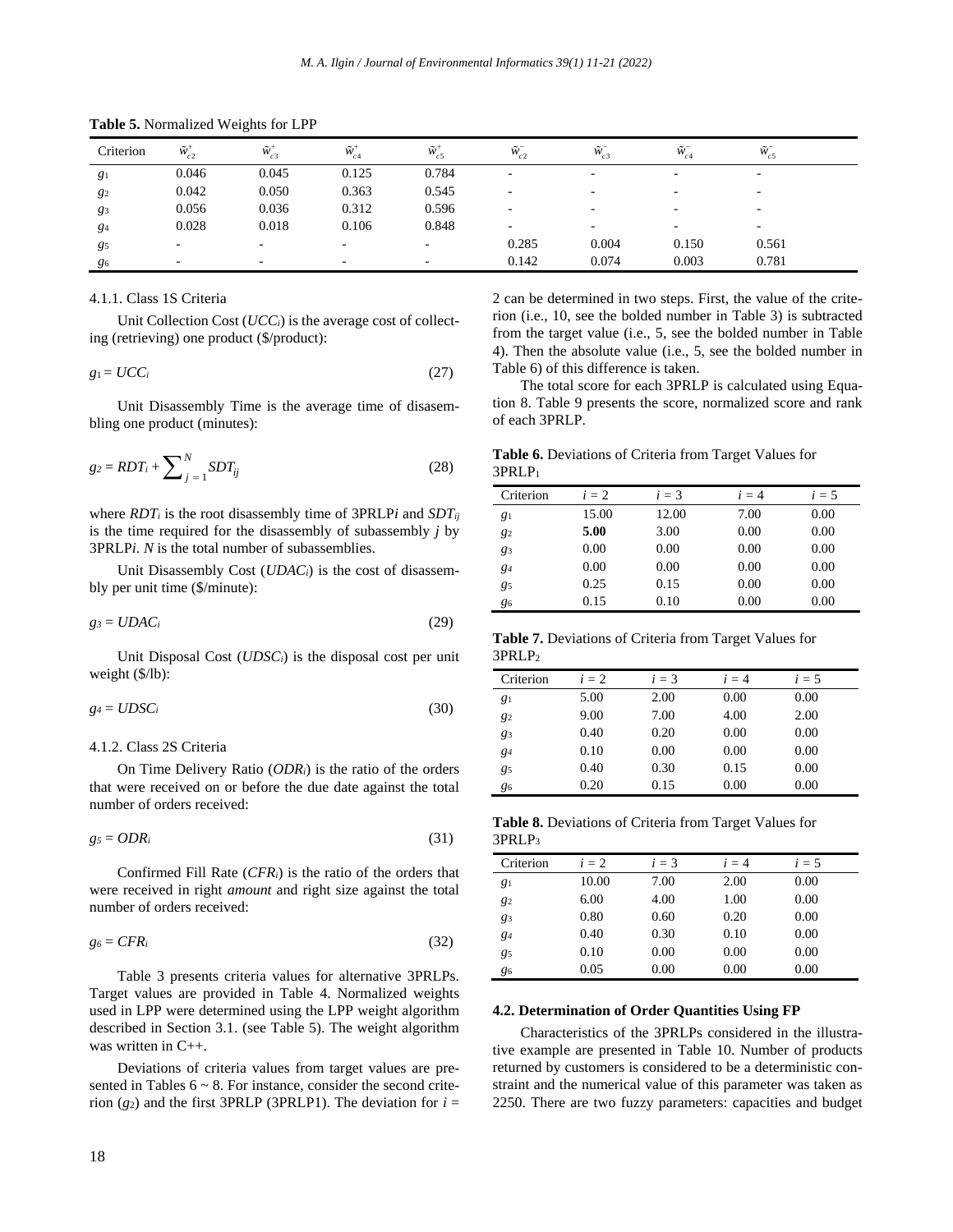| Criterion | $\tilde{W}_{c2}^+$ | $\sim +$<br>$W_{c3}$ | $\tilde{w}_{c4}^+$ | $\tilde{w}_{c5}^+$ | $\sim$ $-$<br>$W_{c2}$ | $\sim$ $-$<br>$W_{c3}$ | $\sim$ $-$<br>$W_{c4}$ | $\tilde{w}_{c5}^-$ |  |
|-----------|--------------------|----------------------|--------------------|--------------------|------------------------|------------------------|------------------------|--------------------|--|
| $g_1$     | 0.046              | 0.045                | 0.125              | 0.784              | -                      | -                      | -                      | -                  |  |
| $g_2$     | 0.042              | 0.050                | 0.363              | 0.545              |                        | -                      | -                      | -                  |  |
| 83        | 0.056              | 0.036                | 0.312              | 0.596              |                        | -                      | -                      | -                  |  |
| 84        | 0.028              | 0.018                | 0.106              | 0.848              | -                      | -                      | -                      | -                  |  |
| 85        | -                  | -                    | -                  |                    | 0.285                  | 0.004                  | 0.150                  | 0.561              |  |
| 86        | -                  |                      |                    |                    | 0.142                  | 0.074                  | 0.003                  | 0.781              |  |

**Table 5.** Normalized Weights for LPP

## 4.1.1. Class 1S Criteria

Unit Collection Cost (*UCCi*) is the average cost of collecting (retrieving) one product (\$/product):

$$
g_1 = UCC_i \tag{27}
$$

Unit Disassembly Time is the average time of disasembling one product (minutes):

$$
g_2 = RDT_i + \sum_{j=1}^{N} SDT_{ij}
$$
\n(28)

where *RDT<sup>i</sup>* is the root disassembly time of 3PRLP*i* and *SDTij* is the time required for the disassembly of subassembly *j* by 3PRLP*i*. *N* is the total number of subassemblies.

Unit Disassembly Cost (*UDACi*) is the cost of disassembly per unit time (\$/minute):

$$
g_3 = UDAC_i \tag{29}
$$

Unit Disposal Cost (*UDSCi*) is the disposal cost per unit weight (\$/lb):

$$
g_4 = U D S C_i \tag{30}
$$

#### 4.1.2. Class 2S Criteria

On Time Delivery Ratio (*ODRi*) is the ratio of the orders that were received on or before the due date against the total number of orders received:

$$
g_5 = ODR_i \tag{31}
$$

Confirmed Fill Rate (*CFRi*) is the ratio of the orders that were received in right *amount* and right size against the total number of orders received:

$$
g_6 = CFR_i \tag{32}
$$

Table 3 presents criteria values for alternative 3PRLPs. Target values are provided in Table 4. Normalized weights used in LPP were determined using the LPP weight algorithm described in Section 3.1. (see Table 5). The weight algorithm was written in C++.

Deviations of criteria values from target values are presented in Tables  $6 \sim 8$ . For instance, consider the second criterion ( $g_2$ ) and the first 3PRLP (3PRLP1). The deviation for  $i =$  2 can be determined in two steps. First, the value of the criterion (i.e., 10, see the bolded number in Table 3) is subtracted from the target value (i.e., 5, see the bolded number in Table 4). Then the absolute value (i.e., 5, see the bolded number in Table 6) of this difference is taken.

The total score for each 3PRLP is calculated using Equation 8. Table 9 presents the score, normalized score and rank of each 3PRLP.

**Table 6.** Deviations of Criteria from Target Values for 3PRLP<sup>1</sup>

| Criterion | $i=2$ | $i=3$ | $i=4$ | $i=5$ |
|-----------|-------|-------|-------|-------|
| 81        | 15.00 | 12.00 | 7.00  | 0.00  |
| 82        | 5.00  | 3.00  | 0.00  | 0.00  |
| 83        | 0.00  | 0.00  | 0.00  | 0.00  |
| 84        | 0.00  | 0.00  | 0.00  | 0.00  |
| 85        | 0.25  | 0.15  | 0.00  | 0.00  |
| 86        | 0.15  | 0.10  | 0.00  | 0.00  |

|                    | Table 7. Deviations of Criteria from Target Values for |  |  |  |
|--------------------|--------------------------------------------------------|--|--|--|
| 3PRLP <sub>2</sub> |                                                        |  |  |  |

| Criterion | $i=2$ | $i=3$ | $i=4$ | $i=5$ |  |
|-----------|-------|-------|-------|-------|--|
| 81        | 5.00  | 2.00  | 0.00  | 0.00  |  |
| $g_2$     | 9.00  | 7.00  | 4.00  | 2.00  |  |
| 83        | 0.40  | 0.20  | 0.00  | 0.00  |  |
| 84        | 0.10  | 0.00  | 0.00  | 0.00  |  |
| 85        | 0.40  | 0.30  | 0.15  | 0.00  |  |
| g6        | 0.20  | 0.15  | 0.00  | 0.00  |  |

**Table 8.** Deviations of Criteria from Target Values for 3PRLP<sup>3</sup>

| Criterion | $i=2$ | $i=3$ | $i=4$ | $i=5$ |  |
|-----------|-------|-------|-------|-------|--|
| 81        | 10.00 | 7.00  | 2.00  | 0.00  |  |
| $g_2$     | 6.00  | 4.00  | 1.00  | 0.00  |  |
| 83        | 0.80  | 0.60  | 0.20  | 0.00  |  |
| 84        | 0.40  | 0.30  | 0.10  | 0.00  |  |
| 85        | 0.10  | 0.00  | 0.00  | 0.00  |  |
| 86        | 0.05  | 0.00  | 0.00  | 0.00  |  |

### **4.2. Determination of Order Quantities Using FP**

Characteristics of the 3PRLPs considered in the illustrative example are presented in Table 10. Number of products returned by customers is considered to be a deterministic constraint and the numerical value of this parameter was taken as 2250. There are two fuzzy parameters: capacities and budget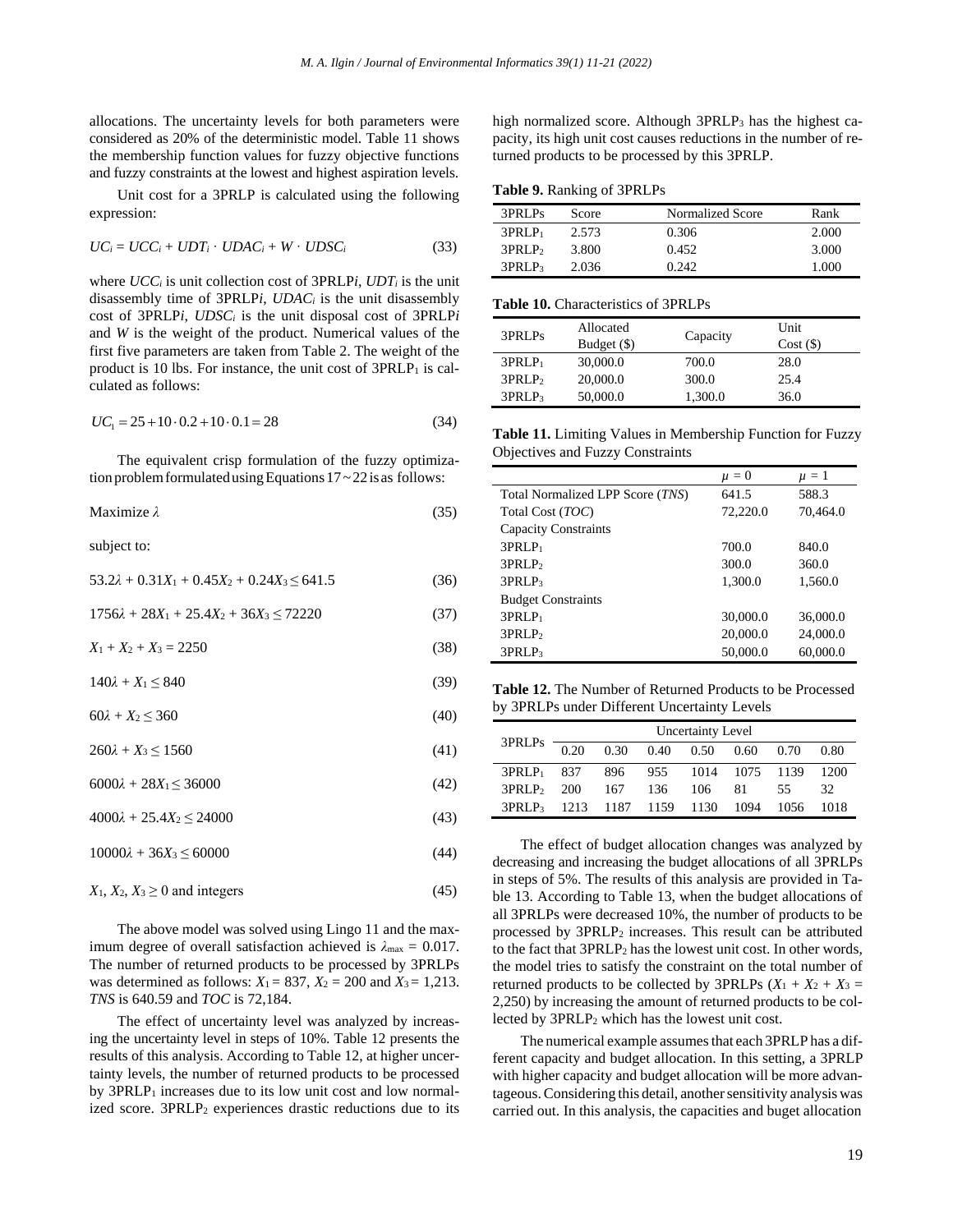allocations. The uncertainty levels for both parameters were considered as 20% of the deterministic model. Table 11 shows the membership function values for fuzzy objective functions and fuzzy constraints at the lowest and highest aspiration levels.

Unit cost for a 3PRLP is calculated using the following expression:

$$
UC_i = UCC_i + UDT_i \cdot UDAC_i + W \cdot UDSC_i \tag{33}
$$

where *UCC<sup>i</sup>* is unit collection cost of 3PRLP*i*, *UDT<sup>i</sup>* is the unit disassembly time of 3PRLP*i*, *UDAC<sup>i</sup>* is the unit disassembly cost of 3PRLP*i*, *UDSC<sup>i</sup>* is the unit disposal cost of 3PRLP*i* and *W* is the weight of the product. Numerical values of the first five parameters are taken from Table 2. The weight of the product is 10 lbs. For instance, the unit cost of  $3PRLP_1$  is calculated as follows:

$$
UC_1 = 25 + 10 \cdot 0.2 + 10 \cdot 0.1 = 28 \tag{34}
$$

The equivalent crisp formulation of the fuzzy optimization problem formulated using Equations  $17 \sim 22$  is as follows:

$$
Maximize \lambda \tag{35}
$$

subject to:

$$
53.2\lambda + 0.31X_1 + 0.45X_2 + 0.24X_3 \le 641.5
$$
 (36)

 $1756\lambda + 28X_1 + 25.4X_2 + 36X_3 \le 72220$  (37)

$$
X_1 + X_2 + X_3 = 2250\tag{38}
$$

$$
140\lambda + X_1 \le 840\tag{39}
$$

 $60\lambda + X_2 \le 360$  (40)

 $260\lambda + X_3 \le 1560$  (41)

 $6000\lambda + 28X_1 \leq 36000$  (42)

 $4000\lambda + 25.4X_2 \le 24000$  (43)

 $10000\lambda + 36X_3 \le 60000$  (44)

$$
X_1, X_2, X_3 \ge 0 \text{ and integers} \tag{45}
$$

The above model was solved using Lingo 11 and the maximum degree of overall satisfaction achieved is *λ*max = 0.017. The number of returned products to be processed by 3PRLPs was determined as follows:  $X_1 = 837$ ,  $X_2 = 200$  and  $X_3 = 1,213$ . *TNS* is 640.59 and *TOC* is 72,184.

The effect of uncertainty level was analyzed by increasing the uncertainty level in steps of 10%. Table 12 presents the results of this analysis. According to Table 12, at higher uncertainty levels, the number of returned products to be processed by 3PRLP<sub>1</sub> increases due to its low unit cost and low normalized score. 3PRLP<sub>2</sub> experiences drastic reductions due to its high normalized score. Although 3PRLP<sub>3</sub> has the highest capacity, its high unit cost causes reductions in the number of returned products to be processed by this 3PRLP.

**Table 9.** Ranking of 3PRLPs

| 3PRLPs             | Score | Normalized Score | Rank  |
|--------------------|-------|------------------|-------|
| $3PRLP_1$          | 2.573 | 0.306            | 2.000 |
| 3PRLP <sub>2</sub> | 3.800 | 0.452            | 3.000 |
| 3PRLP <sub>3</sub> | 2.036 | 0.242            | 1.000 |

#### **Table 10.** Characteristics of 3PRLPs

| 3PRLPs             | Allocated<br>Budget (\$) | Capacity | Unit<br>Cost(S) |
|--------------------|--------------------------|----------|-----------------|
| $3PRLP_1$          | 30,000.0                 | 700.0    | 28.0            |
| 3PRLP <sub>2</sub> | 20,000.0                 | 300.0    | 25.4            |
| 3PRLP <sub>3</sub> | 50,000.0                 | 1,300.0  | 36.0            |

**Table 11.** Limiting Values in Membership Function for Fuzzy Objectives and Fuzzy Constraints

|                                  | $\mu = 0$ | $\mu = 1$ |
|----------------------------------|-----------|-----------|
| Total Normalized LPP Score (TNS) | 641.5     | 588.3     |
| Total Cost (TOC)                 | 72,220.0  | 70,464.0  |
| <b>Capacity Constraints</b>      |           |           |
| $3PRLP_1$                        | 700.0     | 840.0     |
| 3PRLP <sub>2</sub>               | 300.0     | 360.0     |
| 3PRLP <sub>3</sub>               | 1,300.0   | 1,560.0   |
| <b>Budget Constraints</b>        |           |           |
| $3PRLP_1$                        | 30,000.0  | 36,000.0  |
| 3PRLP <sub>2</sub>               | 20,000.0  | 24,000.0  |
| 3PRLP <sub>3</sub>               | 50,000.0  | 60,000.0  |

**Table 12.** The Number of Returned Products to be Processed by 3PRLPs under Different Uncertainty Levels

| 3PRLPs               | <b>Uncertainty Level</b> |                     |      |                    |      |      |      |  |  |
|----------------------|--------------------------|---------------------|------|--------------------|------|------|------|--|--|
|                      | 0.20                     | 0.30                | 0.40 | 0.50               | 0.60 | 0.70 | 0.80 |  |  |
| $3PRLP_1$ 837        |                          | - 896               |      | 955 1014 1075 1139 |      |      | 1200 |  |  |
| 3PRLP <sub>200</sub> |                          | 167                 | 136  | 106                | 81   | 55.  | 32   |  |  |
| 3PRLP <sub>3</sub>   |                          | 1213 1187 1159 1130 |      |                    | 1094 | 1056 | 1018 |  |  |

The effect of budget allocation changes was analyzed by decreasing and increasing the budget allocations of all 3PRLPs in steps of 5%. The results of this analysis are provided in Table 13. According to Table 13, when the budget allocations of all 3PRLPs were decreased 10%, the number of products to be processed by 3PRLP<sup>2</sup> increases. This result can be attributed to the fact that 3PRLP<sub>2</sub> has the lowest unit cost. In other words, the model tries to satisfy the constraint on the total number of returned products to be collected by 3PRLPs  $(X_1 + X_2 + X_3)$ 2,250) by increasing the amount of returned products to be collected by 3PRLP<sup>2</sup> which has the lowest unit cost.

The numerical example assumes that each 3PRLP has a different capacity and budget allocation. In this setting, a 3PRLP with higher capacity and budget allocation will be more advantageous. Considering this detail, another sensitivity analysis was carried out. In this analysis, the capacities and buget allocation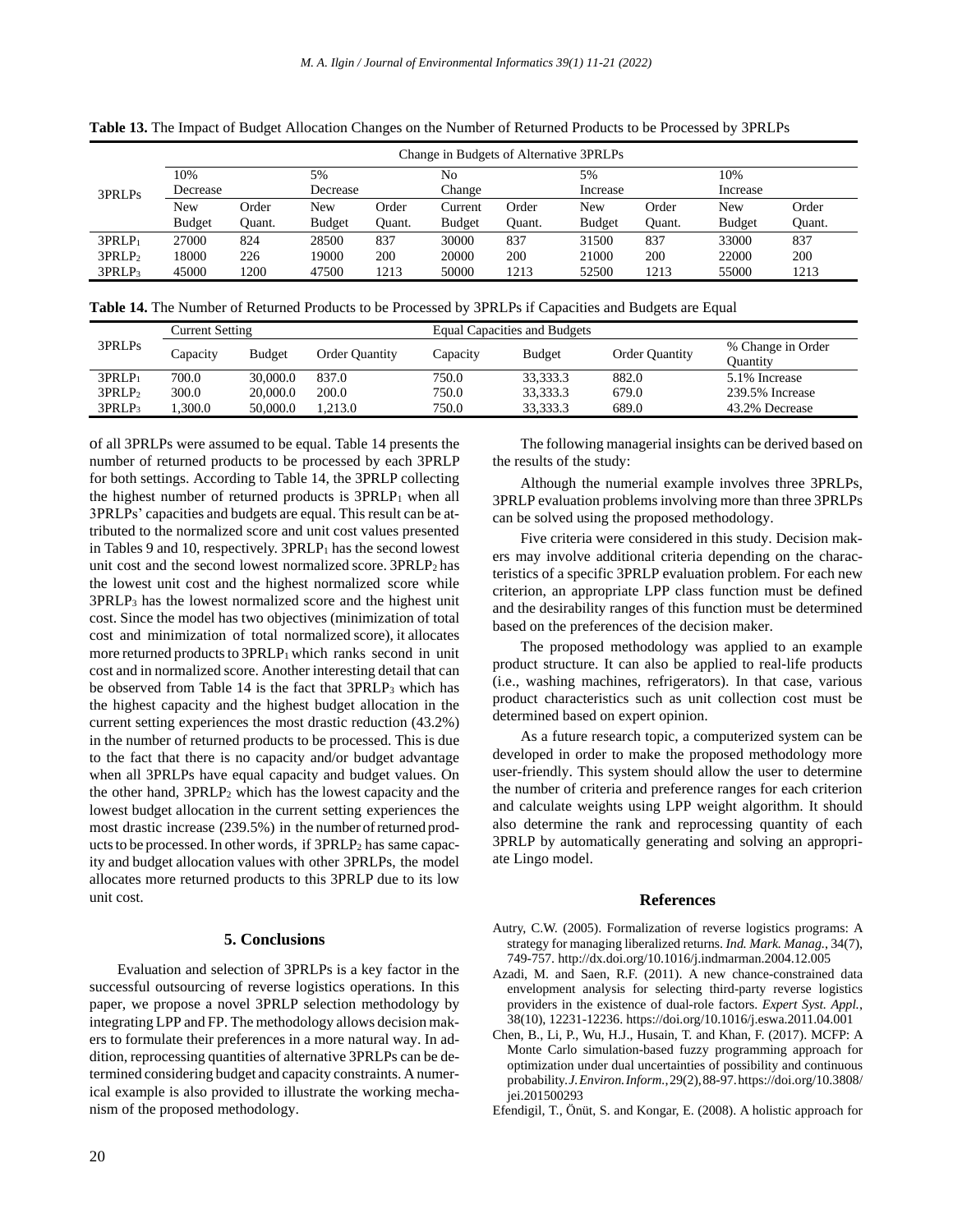|                    | Change in Budgets of Alternative 3PRLPs |        |               |        |               |        |               |        |               |        |  |
|--------------------|-----------------------------------------|--------|---------------|--------|---------------|--------|---------------|--------|---------------|--------|--|
| 3PRLPs             | 10%                                     |        | 5%            |        | No            |        | 5%            |        | 10%           |        |  |
|                    | Decrease                                |        | Decrease      |        | Change        |        | Increase      |        | Increase      |        |  |
|                    | New                                     | Order  | New           | Order  | Current       | Order  | New           | Order  | New           | Order  |  |
|                    | <b>Budget</b>                           | Ouant. | <b>Budget</b> | Ouant. | <b>Budget</b> | Ouant. | <b>Budget</b> | Ouant. | <b>Budget</b> | Quant. |  |
| 3PRLP <sub>1</sub> | 27000                                   | 824    | 28500         | 837    | 30000         | 837    | 31500         | 837    | 33000         | 837    |  |
| 3PRLP <sub>2</sub> | 18000                                   | 226    | 19000         | 200    | 20000         | 200    | 21000         | 200    | 22000         | 200    |  |
| 3PRLP <sub>3</sub> | 45000                                   | 1200   | 47500         | 1213   | 50000         | 1213   | 52500         | 1213   | 55000         | 1213   |  |

**Table 13.** The Impact of Budget Allocation Changes on the Number of Returned Products to be Processed by 3PRLPs

**Table 14.** The Number of Returned Products to be Processed by 3PRLPs if Capacities and Budgets are Equal

| 3PRLPs             | Current Setting |          |                       | <b>Equal Capacities and Budgets</b> |               |                       |                               |  |
|--------------------|-----------------|----------|-----------------------|-------------------------------------|---------------|-----------------------|-------------------------------|--|
|                    | Capacity        | Budget   | <b>Order Quantity</b> | Capacity                            | <b>Budget</b> | <b>Order Quantity</b> | % Change in Order<br>Ouantity |  |
| 3PRLP <sub>1</sub> | 700.0           | 30,000.0 | 837.0                 | 750.0                               | 33,333.3      | 882.0                 | 5.1% Increase                 |  |
| 3PRLP <sub>2</sub> | 300.0           | 20,000.0 | 200.0                 | 750.0                               | 33.333.3      | 679.0                 | 239.5% Increase               |  |
| 3PRLP3             | .300.0          | 50,000.0 | .213.0                | 750.0                               | 33.333.3      | 689.0                 | 43.2% Decrease                |  |

of all 3PRLPs were assumed to be equal. Table 14 presents the number of returned products to be processed by each 3PRLP for both settings. According to Table 14, the 3PRLP collecting the highest number of returned products is  $3PRLP_1$  when all 3PRLPs' capacities and budgets are equal. This result can be attributed to the normalized score and unit cost values presented in Tables 9 and 10, respectively. 3PRLP<sub>1</sub> has the second lowest unit cost and the second lowest normalized score. 3PRLP<sub>2</sub> has the lowest unit cost and the highest normalized score while 3PRLP<sup>3</sup> has the lowest normalized score and the highest unit cost. Since the model has two objectives (minimization of total cost and minimization of total normalized score), it allocates more returned products to 3PRLP<sub>1</sub> which ranks second in unit cost and in normalized score. Another interesting detail that can be observed from Table 14 is the fact that 3PRLP<sup>3</sup> which has the highest capacity and the highest budget allocation in the current setting experiences the most drastic reduction (43.2%) in the number of returned products to be processed. This is due to the fact that there is no capacity and/or budget advantage when all 3PRLPs have equal capacity and budget values. On the other hand, 3PRLP<sup>2</sup> which has the lowest capacity and the lowest budget allocation in the current setting experiences the most drastic increase (239.5%) in the number of returned products to be processed. In other words, if 3PRLP<sub>2</sub> has same capacity and budget allocation values with other 3PRLPs, the model allocates more returned products to this 3PRLP due to its low unit cost.

#### **5. Conclusions**

Evaluation and selection of 3PRLPs is a key factor in the successful outsourcing of reverse logistics operations. In this paper, we propose a novel 3PRLP selection methodology by integrating LPP and FP. The methodology allows decision makers to formulate their preferences in a more natural way. In addition, reprocessing quantities of alternative 3PRLPs can be determined considering budget and capacity constraints. A numerical example is also provided to illustrate the working mechanism of the proposed methodology.

20

The following managerial insights can be derived based on the results of the study:

Although the numerial example involves three 3PRLPs, 3PRLP evaluation problems involving more than three 3PRLPs can be solved using the proposed methodology.

Five criteria were considered in this study. Decision makers may involve additional criteria depending on the characteristics of a specific 3PRLP evaluation problem. For each new criterion, an appropriate LPP class function must be defined and the desirability ranges of this function must be determined based on the preferences of the decision maker.

The proposed methodology was applied to an example product structure. It can also be applied to real-life products (i.e., washing machines, refrigerators). In that case, various product characteristics such as unit collection cost must be determined based on expert opinion.

As a future research topic, a computerized system can be developed in order to make the proposed methodology more user-friendly. This system should allow the user to determine the number of criteria and preference ranges for each criterion and calculate weights using LPP weight algorithm. It should also determine the rank and reprocessing quantity of each 3PRLP by automatically generating and solving an appropriate Lingo model.

## **References**

- Autry, C.W. (2005). Formalization of reverse logistics programs: A strategy for managing liberalized returns. *Ind. Mark. Manag.*, 34(7), 749-757. http://dx.doi.org/10.1016/j.indmarman.2004.12.005
- Azadi, M. and Saen, R.F. (2011). A new chance-constrained data envelopment analysis for selecting third-party reverse logistics providers in the existence of dual-role factors. *Expert Syst. Appl.*, 38(10), 12231-12236. https://doi.org/10.1016/j.eswa.2011.04.001
- Chen, B., Li, P., Wu, H.J., Husain, T. and Khan, F. (2017). MCFP: A Monte Carlo simulation-based fuzzy programming approach for optimization under dual uncertainties of possibility and continuous probability.*J.Environ.Inform.*,29(2),88-97.https://doi.org/10.3808/ iei.201500293
- Efendigil, T., Önüt, S. and Kongar, E. (2008). A holistic approach for